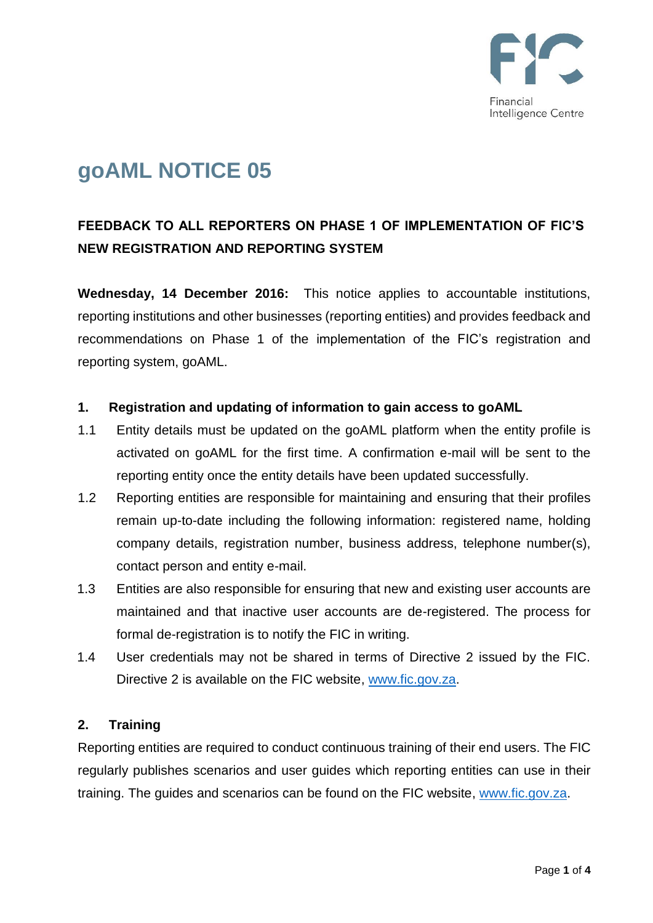

# **goAML NOTICE 05**

## **FEEDBACK TO ALL REPORTERS ON PHASE 1 OF IMPLEMENTATION OF FIC'S NEW REGISTRATION AND REPORTING SYSTEM**

**Wednesday, 14 December 2016:** This notice applies to accountable institutions, reporting institutions and other businesses (reporting entities) and provides feedback and recommendations on Phase 1 of the implementation of the FIC's registration and reporting system, goAML.

#### **1. Registration and updating of information to gain access to goAML**

- 1.1 Entity details must be updated on the goAML platform when the entity profile is activated on goAML for the first time. A confirmation e-mail will be sent to the reporting entity once the entity details have been updated successfully.
- 1.2 Reporting entities are responsible for maintaining and ensuring that their profiles remain up-to-date including the following information: registered name, holding company details, registration number, business address, telephone number(s), contact person and entity e-mail.
- 1.3 Entities are also responsible for ensuring that new and existing user accounts are maintained and that inactive user accounts are de-registered. The process for formal de-registration is to notify the FIC in writing.
- 1.4 User credentials may not be shared in terms of Directive 2 issued by the FIC. Directive 2 is available on the FIC website, [www.fic.gov.za.](http://www.fic.gov.za/)

#### **2. Training**

Reporting entities are required to conduct continuous training of their end users. The FIC regularly publishes scenarios and user guides which reporting entities can use in their training. The guides and scenarios can be found on the FIC website, [www.fic.gov.za.](http://www.fic.gov.za/)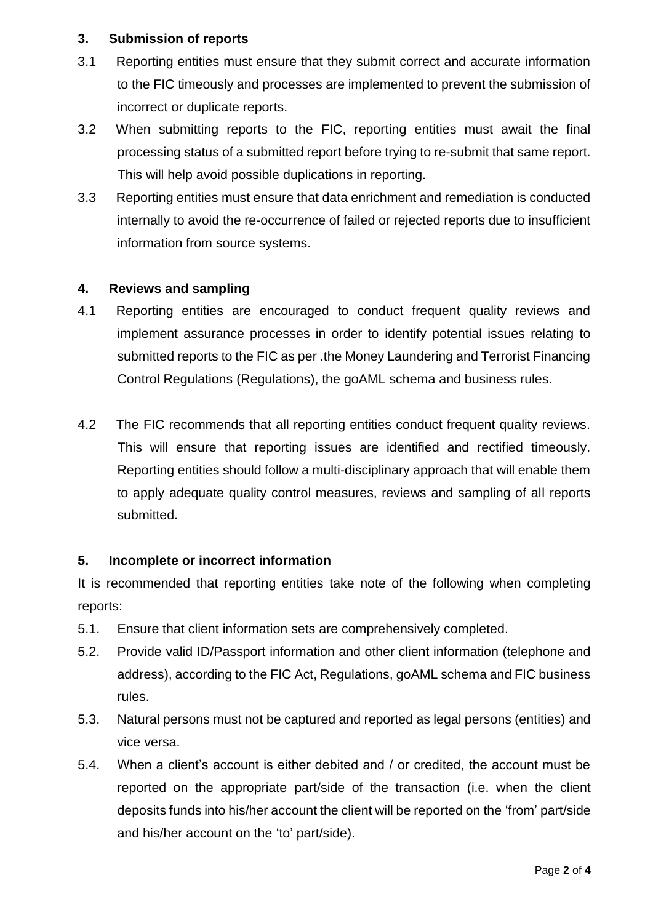#### **3. Submission of reports**

- 3.1 Reporting entities must ensure that they submit correct and accurate information to the FIC timeously and processes are implemented to prevent the submission of incorrect or duplicate reports.
- 3.2 When submitting reports to the FIC, reporting entities must await the final processing status of a submitted report before trying to re-submit that same report. This will help avoid possible duplications in reporting.
- 3.3 Reporting entities must ensure that data enrichment and remediation is conducted internally to avoid the re-occurrence of failed or rejected reports due to insufficient information from source systems.

#### **4. Reviews and sampling**

- 4.1 Reporting entities are encouraged to conduct frequent quality reviews and implement assurance processes in order to identify potential issues relating to submitted reports to the FIC as per .the Money Laundering and Terrorist Financing Control Regulations (Regulations), the goAML schema and business rules.
- 4.2 The FIC recommends that all reporting entities conduct frequent quality reviews. This will ensure that reporting issues are identified and rectified timeously. Reporting entities should follow a multi-disciplinary approach that will enable them to apply adequate quality control measures, reviews and sampling of all reports submitted.

#### **5. Incomplete or incorrect information**

It is recommended that reporting entities take note of the following when completing reports:

- 5.1. Ensure that client information sets are comprehensively completed.
- 5.2. Provide valid ID/Passport information and other client information (telephone and address), according to the FIC Act, Regulations, goAML schema and FIC business rules.
- 5.3. Natural persons must not be captured and reported as legal persons (entities) and vice versa.
- 5.4. When a client's account is either debited and / or credited, the account must be reported on the appropriate part/side of the transaction (i.e. when the client deposits funds into his/her account the client will be reported on the 'from' part/side and his/her account on the 'to' part/side).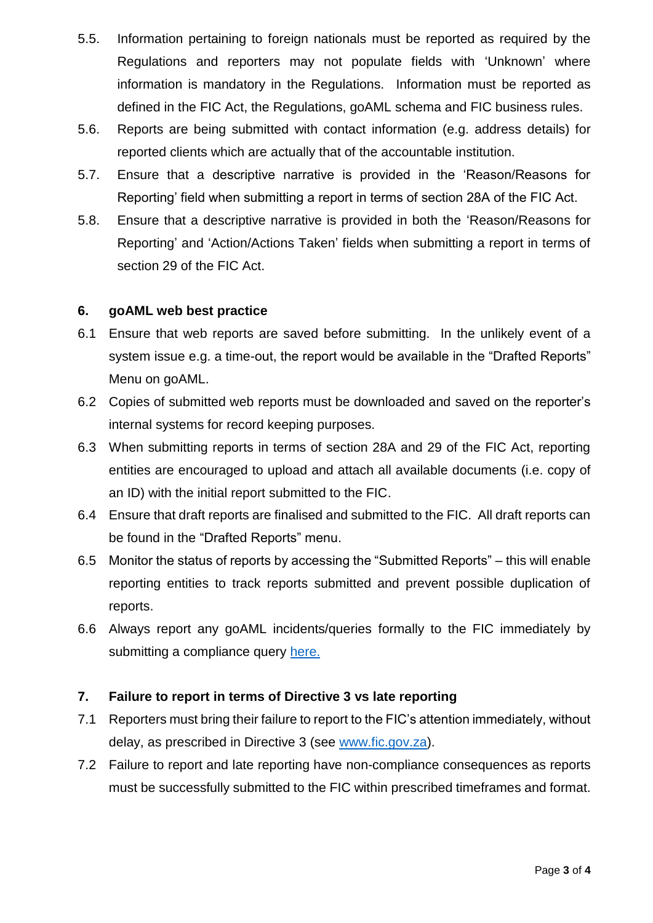- 5.5. Information pertaining to foreign nationals must be reported as required by the Regulations and reporters may not populate fields with 'Unknown' where information is mandatory in the Regulations. Information must be reported as defined in the FIC Act, the Regulations, goAML schema and FIC business rules.
- 5.6. Reports are being submitted with contact information (e.g. address details) for reported clients which are actually that of the accountable institution.
- 5.7. Ensure that a descriptive narrative is provided in the 'Reason/Reasons for Reporting' field when submitting a report in terms of section 28A of the FIC Act.
- 5.8. Ensure that a descriptive narrative is provided in both the 'Reason/Reasons for Reporting' and 'Action/Actions Taken' fields when submitting a report in terms of section 29 of the FIC Act.

#### **6. goAML web best practice**

- 6.1 Ensure that web reports are saved before submitting. In the unlikely event of a system issue e.g. a time-out, the report would be available in the "Drafted Reports" Menu on goAML.
- 6.2 Copies of submitted web reports must be downloaded and saved on the reporter's internal systems for record keeping purposes.
- 6.3 When submitting reports in terms of section 28A and 29 of the FIC Act, reporting entities are encouraged to upload and attach all available documents (i.e. copy of an ID) with the initial report submitted to the FIC.
- 6.4 Ensure that draft reports are finalised and submitted to the FIC. All draft reports can be found in the "Drafted Reports" menu.
- 6.5 Monitor the status of reports by accessing the "Submitted Reports" this will enable reporting entities to track reports submitted and prevent possible duplication of reports.
- 6.6 Always report any goAML incidents/queries formally to the FIC immediately by submitting a compliance query here.

#### **7. Failure to report in terms of Directive 3 vs late reporting**

- 7.1 Reporters must bring their failure to report to the FIC's attention immediately, without delay, as prescribed in Directive 3 (see [www.fic.gov.za\)](http://www.fic.gov.za/).
- 7.2 Failure to report and late reporting have non-compliance consequences as reports must be successfully submitted to the FIC within prescribed timeframes and format.